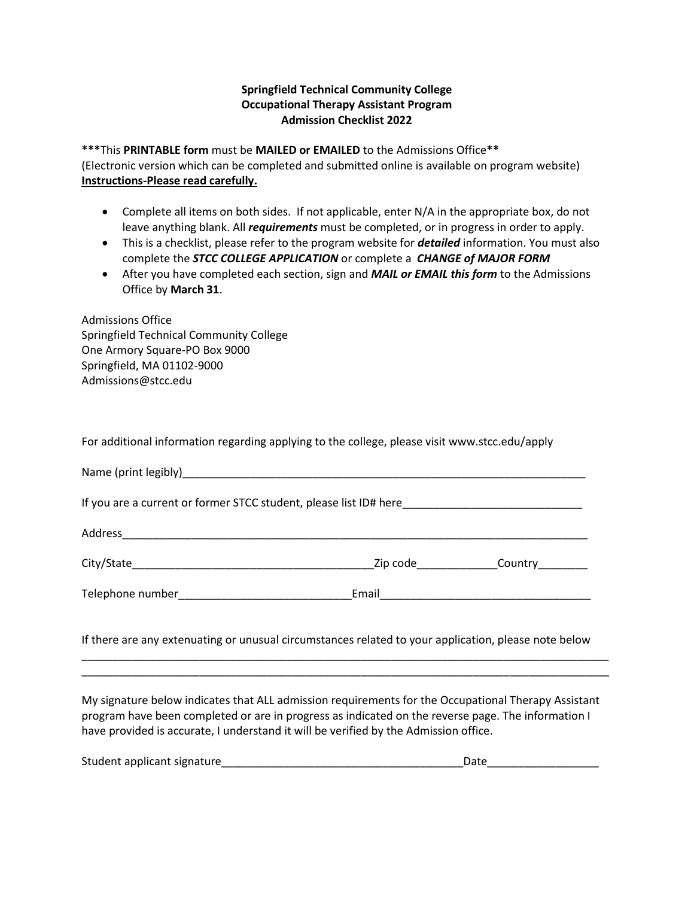## **Springfield Technical Community College Occupational Therapy Assistant Program Admission Checklist 2022**

**\*\*\***This **PRINTABLE form** must be **MAILED or EMAILED** to the Admissions Office**\*\***  (Electronic version which can be completed and submitted online is available on program website) **Instructions-Please read carefully.**

- Complete all items on both sides. If not applicable, enter N/A in the appropriate box, do not leave anything blank. All *requirements* must be completed, or in progress in order to apply.
- This is a checklist, please refer to the program website for *detailed* information. You must also complete the *STCC COLLEGE APPLICATION* or complete a *CHANGE of MAJOR FORM*
- After you have completed each section, sign and *MAIL or EMAIL this form* to the Admissions Office by **March 31**.

| <b>Admissions Office</b>                |
|-----------------------------------------|
| Springfield Technical Community College |
| One Armory Square-PO Box 9000           |
| Springfield, MA 01102-9000              |
| Admissions@stcc.edu                     |
|                                         |

For additional information regarding applying to the college, please visit www.stcc.edu/apply

|  | Zip code and the state of the state of the state of the state of the state of the state of the state of the sta | Country |  |  |  |  |  |
|--|-----------------------------------------------------------------------------------------------------------------|---------|--|--|--|--|--|
|  |                                                                                                                 |         |  |  |  |  |  |
|  |                                                                                                                 |         |  |  |  |  |  |

If there are any extenuating or unusual circumstances related to your application, please note below

\_\_\_\_\_\_\_\_\_\_\_\_\_\_\_\_\_\_\_\_\_\_\_\_\_\_\_\_\_\_\_\_\_\_\_\_\_\_\_\_\_\_\_\_\_\_\_\_\_\_\_\_\_\_\_\_\_\_\_\_\_\_\_\_\_\_\_\_\_\_\_\_\_\_\_\_\_\_\_\_\_\_\_\_\_ \_\_\_\_\_\_\_\_\_\_\_\_\_\_\_\_\_\_\_\_\_\_\_\_\_\_\_\_\_\_\_\_\_\_\_\_\_\_\_\_\_\_\_\_\_\_\_\_\_\_\_\_\_\_\_\_\_\_\_\_\_\_\_\_\_\_\_\_\_\_\_\_\_\_\_\_\_\_\_\_\_\_\_\_\_

My signature below indicates that ALL admission requirements for the Occupational Therapy Assistant program have been completed or are in progress as indicated on the reverse page. The information I have provided is accurate, I understand it will be verified by the Admission office.

| Student applicant signature_ |  |
|------------------------------|--|
|                              |  |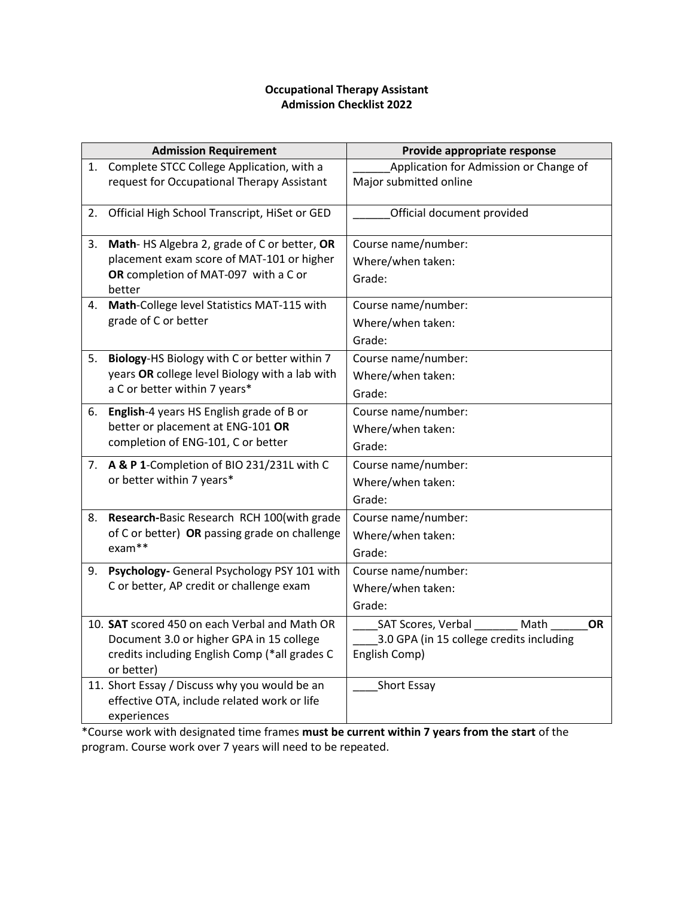## **Occupational Therapy Assistant Admission Checklist 2022**

|    | <b>Admission Requirement</b>                                                                                                                             | Provide appropriate response                                                                         |  |  |
|----|----------------------------------------------------------------------------------------------------------------------------------------------------------|------------------------------------------------------------------------------------------------------|--|--|
| 1. | Complete STCC College Application, with a<br>request for Occupational Therapy Assistant                                                                  | Application for Admission or Change of<br>Major submitted online                                     |  |  |
| 2. | Official High School Transcript, HiSet or GED                                                                                                            | Official document provided                                                                           |  |  |
| 3. | Math-HS Algebra 2, grade of C or better, OR<br>placement exam score of MAT-101 or higher<br>OR completion of MAT-097 with a C or<br>better               | Course name/number:<br>Where/when taken:<br>Grade:                                                   |  |  |
| 4. | Math-College level Statistics MAT-115 with<br>grade of C or better                                                                                       | Course name/number:<br>Where/when taken:<br>Grade:                                                   |  |  |
| 5. | Biology-HS Biology with C or better within 7<br>years OR college level Biology with a lab with<br>a C or better within 7 years*                          | Course name/number:<br>Where/when taken:<br>Grade:                                                   |  |  |
| 6. | English-4 years HS English grade of B or<br>better or placement at ENG-101 OR<br>completion of ENG-101, C or better                                      | Course name/number:<br>Where/when taken:<br>Grade:                                                   |  |  |
| 7. | A & P 1-Completion of BIO 231/231L with C<br>or better within 7 years*                                                                                   | Course name/number:<br>Where/when taken:<br>Grade:                                                   |  |  |
| 8. | Research-Basic Research RCH 100(with grade<br>of C or better) OR passing grade on challenge<br>exam**                                                    | Course name/number:<br>Where/when taken:<br>Grade:                                                   |  |  |
| 9. | Psychology- General Psychology PSY 101 with<br>C or better, AP credit or challenge exam                                                                  | Course name/number:<br>Where/when taken:<br>Grade:                                                   |  |  |
|    | 10. SAT scored 450 on each Verbal and Math OR<br>Document 3.0 or higher GPA in 15 college<br>credits including English Comp (*all grades C<br>or better) | SAT Scores, Verbal<br>Math<br><b>OR</b><br>3.0 GPA (in 15 college credits including<br>English Comp) |  |  |
|    | 11. Short Essay / Discuss why you would be an<br>effective OTA, include related work or life<br>experiences                                              | Short Essay                                                                                          |  |  |

\*Course work with designated time frames **must be current within 7 years from the start** of the program. Course work over 7 years will need to be repeated.